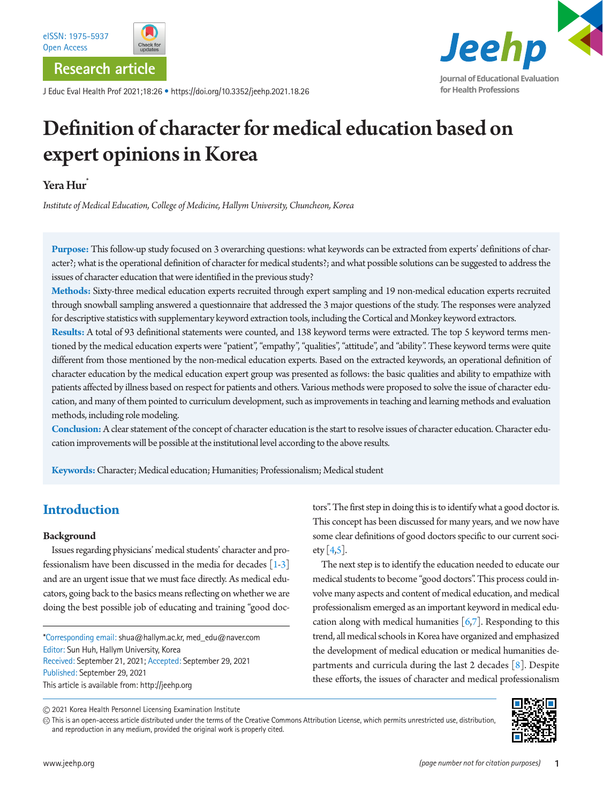



**Research article**

J Educ Eval Health Prof 2021;18:26 • https://doi.org/10.3352/jeehp.2021.18.26



# Definition of character for medical education based on expert opinions in Korea

## Yera Hur<sup>\*</sup>

*Institute of Medical Education, College of Medicine, Hallym University, Chuncheon, Korea*

**Purpose:** This follow-up study focused on 3 overarching questions: what keywords can be extracted from experts' definitions of character?; what is the operational definition of character for medical students?; and what possible solutions can be suggested to address the issues of character education that were identified in the previous study?

**Methods:** Sixty-three medical education experts recruited through expert sampling and 19 non-medical education experts recruited through snowball sampling answered a questionnaire that addressed the 3 major questions of the study. The responses were analyzed for descriptive statistics with supplementary keyword extraction tools, including the Cortical and Monkey keyword extractors.

**Results:** A total of 93 definitional statements were counted, and 138 keyword terms were extracted. The top 5 keyword terms mentioned by the medical education experts were "patient", "empathy", "qualities", "attitude", and "ability". These keyword terms were quite different from those mentioned by the non-medical education experts. Based on the extracted keywords, an operational definition of character education by the medical education expert group was presented as follows: the basic qualities and ability to empathize with patients affected by illness based on respect for patients and others. Various methods were proposed to solve the issue of character education, and many of them pointed to curriculum development, such as improvements in teaching and learning methods and evaluation methods, including role modeling.

**Conclusion:** A clear statement of the concept of character education is the start to resolve issues of character education. Character education improvements will be possible at the institutional level according to the above results.

**Keywords:** Character; Medical education; Humanities; Professionalism; Medical student

# **Introduction**

#### **Background**

Issues regarding physicians' medical students' character and professionalism have been discussed in the media for decades [\[1](#page-7-0)[-3](#page-7-1)] and are an urgent issue that we must face directly. As medical educators, going back to the basics means reflecting on whether we are doing the best possible job of educating and training "good doc-

\*Corresponding email: shua@hallym.ac.kr, med\_edu@naver.com Editor: Sun Huh, Hallym University, Korea Received: September 21, 2021; Accepted: September 29, 2021 Published: September 29, 2021 This article is available from: http://jeehp.org

tors". The first step in doing this is to identify what a good doctor is. This concept has been discussed for many years, and we now have some clear definitions of good doctors specific to our current society  $[4,5]$  $[4,5]$  $[4,5]$ .

The next step is to identify the education needed to educate our medical students to become "good doctors". This process could involve many aspects and content of medical education, and medical professionalism emerged as an important keyword in medical education along with medical humanities  $[6,7]$  $[6,7]$  $[6,7]$ . Responding to this trend, all medical schools in Korea have organized and emphasized the development of medical education or medical humanities departments and curricula during the last 2 decades [\[8](#page-7-5)]. Despite these efforts, the issues of character and medical professionalism

2021 Korea Health Personnel Licensing Examination Institute

This is an open-access article distributed under the terms of the Creative Commons Attribution License, which permits unrestricted use, distribution, and reproduction in any medium, provided the original work is properly cited.

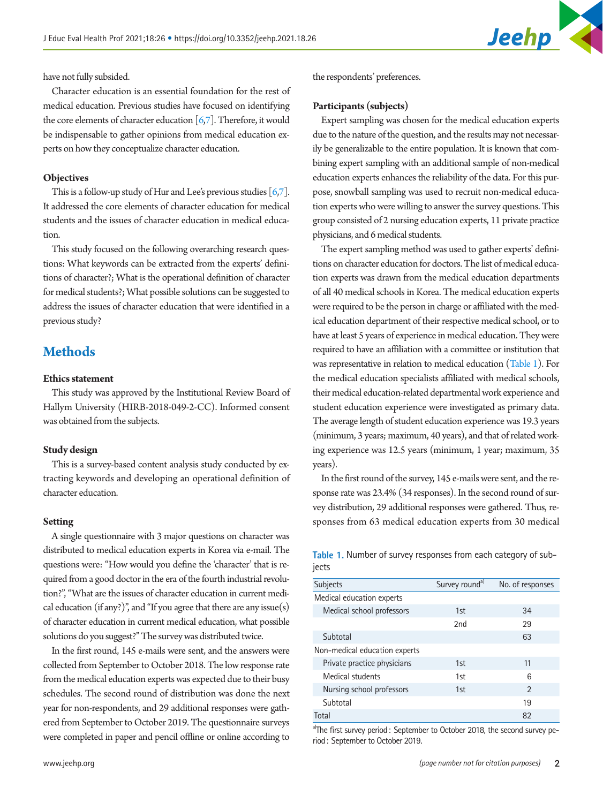

have not fully subsided.

Character education is an essential foundation for the rest of medical education. Previous studies have focused on identifying the core elements of character education  $[6,7]$  $[6,7]$ . Therefore, it would be indispensable to gather opinions from medical education experts on how they conceptualize character education.

#### **Objectives**

This is a follow-up study of Hur and Lee's previous studies  $[6,7]$  $[6,7]$  $[6,7]$ . It addressed the core elements of character education for medical students and the issues of character education in medical education.

This study focused on the following overarching research questions: What keywords can be extracted from the experts' definitions of character?; What is the operational definition of character for medical students?; What possible solutions can be suggested to address the issues of character education that were identified in a previous study?

# **Methods**

#### **Ethics statement**

This study was approved by the Institutional Review Board of Hallym University (HIRB-2018-049-2-CC). Informed consent was obtained from the subjects.

#### **Study design**

This is a survey-based content analysis study conducted by extracting keywords and developing an operational definition of character education.

#### **Setting**

A single questionnaire with 3 major questions on character was distributed to medical education experts in Korea via e-mail. The questions were: "How would you define the 'character' that is required from a good doctor in the era of the fourth industrial revolution?", "What are the issues of character education in current medical education (if any?)", and "If you agree that there are any issue(s) of character education in current medical education, what possible solutions do you suggest?" The survey was distributed twice.

In the first round, 145 e-mails were sent, and the answers were collected from September to October 2018. The low response rate from the medical education experts was expected due to their busy schedules. The second round of distribution was done the next year for non-respondents, and 29 additional responses were gathered from September to October 2019. The questionnaire surveys were completed in paper and pencil offline or online according to

the respondents' preferences.

#### **Participants (subjects)**

Expert sampling was chosen for the medical education experts due to the nature of the question, and the results may not necessarily be generalizable to the entire population. It is known that combining expert sampling with an additional sample of non-medical education experts enhances the reliability of the data. For this purpose, snowball sampling was used to recruit non-medical education experts who were willing to answer the survey questions. This group consisted of 2 nursing education experts, 11 private practice physicians, and 6 medical students.

The expert sampling method was used to gather experts' definitions on character education for doctors. The list of medical education experts was drawn from the medical education departments of all 40 medical schools in Korea. The medical education experts were required to be the person in charge or affiliated with the medical education department of their respective medical school, or to have at least 5 years of experience in medical education. They were required to have an affiliation with a committee or institution that was representative in relation to medical education [\(Table 1](#page-1-0)). For the medical education specialists affiliated with medical schools, their medical education-related departmental work experience and student education experience were investigated as primary data. The average length of student education experience was 19.3 years (minimum, 3 years; maximum, 40 years), and that of related working experience was 12.5 years (minimum, 1 year; maximum, 35 years).

In the first round of the survey, 145 e-mails were sent, and the response rate was 23.4% (34 responses). In the second round of survey distribution, 29 additional responses were gathered. Thus, responses from 63 medical education experts from 30 medical

<span id="page-1-0"></span>**Table 1.** Number of survey responses from each category of subiects

| <b>Subjects</b>               | Survey round <sup>a)</sup> | No. of responses |  |
|-------------------------------|----------------------------|------------------|--|
| Medical education experts     |                            |                  |  |
| Medical school professors     | 1st                        | 34               |  |
|                               | 2nd                        | 29               |  |
| Subtotal                      |                            | 63               |  |
| Non-medical education experts |                            |                  |  |
| Private practice physicians   | 1st                        | 11               |  |
| Medical students              | 1st                        | 6                |  |
| Nursing school professors     | 1st                        | $\mathfrak{D}$   |  |
| Subtotal                      |                            | 19               |  |
| Total                         |                            | 82               |  |

<sup>a)</sup>The first survey period: September to October 2018, the second survey period: September to October 2019.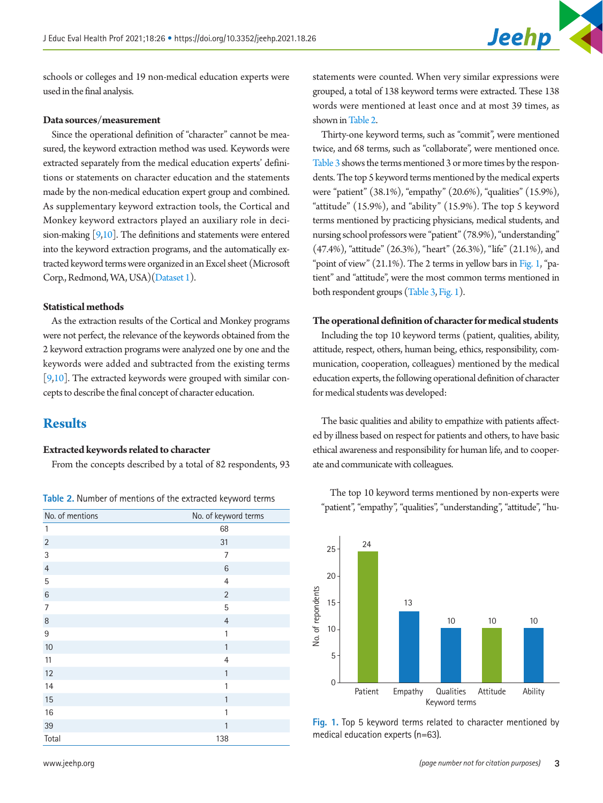schools or colleges and 19 non-medical education experts were used in the final analysis.

#### **Data sources/measurement**

Since the operational definition of "character" cannot be measured, the keyword extraction method was used. Keywords were extracted separately from the medical education experts' definitions or statements on character education and the statements made by the non-medical education expert group and combined. As supplementary keyword extraction tools, the Cortical and Monkey keyword extractors played an auxiliary role in decision-making  $[9,10]$  $[9,10]$ . The definitions and statements were entered into the keyword extraction programs, and the automatically extracted keyword terms were organized in an Excel sheet (Microsoft Corp., Redmond, WA, USA)[\(Dataset 1\)](#page-7-8).

#### **Statistical methods**

As the extraction results of the Cortical and Monkey programs were not perfect, the relevance of the keywords obtained from the 2 keyword extraction programs were analyzed one by one and the keywords were added and subtracted from the existing terms [\[9](#page-7-6)[,10\]](#page-7-7). The extracted keywords were grouped with similar concepts to describe the final concept of character education.

### **Results**

#### **Extracted keywords related to character**

From the concepts described by a total of 82 respondents, 93

| No. of mentions | No. of keyword terms |  |
|-----------------|----------------------|--|
| $\mathbf{1}$    | 68                   |  |
| $\sqrt{2}$      | 31                   |  |
| 3               | 7                    |  |
| $\overline{4}$  | $\,6\,$              |  |
| 5               | $\overline{4}$       |  |
| $6\phantom{1}6$ | $\overline{2}$       |  |
| 7               | 5                    |  |
| 8               | $\overline{4}$       |  |
| 9               | 1                    |  |
| 10              | $\mathbf{1}$         |  |
| 11              | $\overline{4}$       |  |
| 12              | $\mathbf{1}$         |  |
| 14              | 1                    |  |
| 15              | 1                    |  |
| 16              | 1                    |  |
| 39              | 1                    |  |
| Total           | 138                  |  |

statements were counted. When very similar expressions were grouped, a total of 138 keyword terms were extracted. These 138 words were mentioned at least once and at most 39 times, as shown in [Table 2](#page-2-0).

Thirty-one keyword terms, such as "commit", were mentioned twice, and 68 terms, such as "collaborate", were mentioned once[.](#page-3-0) [Table 3](#page-3-0) shows the terms mentioned 3 or more times by the respondents. The top 5 keyword terms mentioned by the medical experts were "patient" (38.1%), "empathy" (20.6%), "qualities" (15.9%), "attitude" (15.9%), and "ability" (15.9%). The top 5 keyword terms mentioned by practicing physicians, medical students, and nursing school professors were "patient" (78.9%), "understanding" (47.4%), "attitude" (26.3%), "heart" (26.3%), "life" (21.1%), and "point of view" (21.1%). The 2 terms in yellow bars in [Fig. 1,](#page-2-1) "patient" and "attitude", were the most common terms mentioned in both respondent groups [\(Table 3,](#page-3-0) [Fig. 1](#page-2-1)).

#### **The operational definition of character for medical students**

Including the top 10 keyword terms (patient, qualities, ability, attitude, respect, others, human being, ethics, responsibility, communication, cooperation, colleagues) mentioned by the medical education experts, the following operational definition of character for medical students was developed:

The basic qualities and ability to empathize with patients affected by illness based on respect for patients and others, to have basic ethical awareness and responsibility for human life, and to cooperate and communicate with colleagues.

<span id="page-2-1"></span>

<span id="page-2-0"></span>The top 10 keyword terms mentioned by non-experts were Table 2. Number of mentions of the extracted keyword terms **Table 2. Number of mentions of the extracted keyword terms The UP 10 Keyword terms inentioned by non-experts were**  $\frac{1}{2}$  the UP 10 Keyword terms inentioned

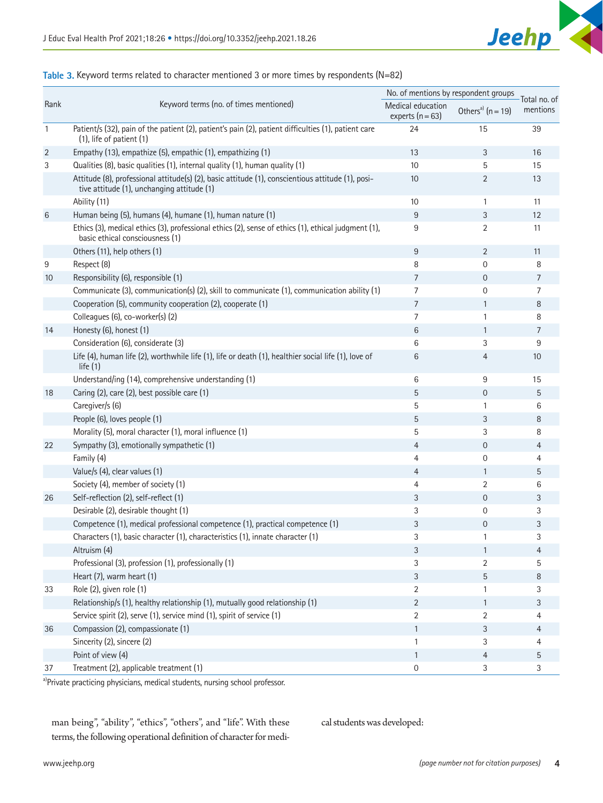

#### <span id="page-3-0"></span>**Table 3.** Keyword terms related to character mentioned 3 or more times by respondents (N=82)

|                 | Keyword terms (no. of times mentioned)                                                                                                          | No. of mentions by respondent groups    |                               |                          |
|-----------------|-------------------------------------------------------------------------------------------------------------------------------------------------|-----------------------------------------|-------------------------------|--------------------------|
| Rank            |                                                                                                                                                 | Medical education<br>experts $(n = 63)$ | Others <sup>a)</sup> (n = 19) | Total no. of<br>mentions |
| $\mathbf{1}$    | Patient/s (32), pain of the patient (2), patient's pain (2), patient difficulties (1), patient care<br>$(1)$ , life of patient $(1)$            | 24                                      | 15                            | 39                       |
| $\overline{2}$  | Empathy (13), empathize (5), empathic (1), empathizing (1)                                                                                      | 13                                      | 3                             | 16                       |
| 3               | Qualities (8), basic qualities (1), internal quality (1), human quality (1)                                                                     | 10                                      | 5                             | 15                       |
|                 | Attitude (8), professional attitude(s) (2), basic attitude (1), conscientious attitude (1), posi-<br>tive attitude (1), unchanging attitude (1) | 10                                      | 2                             | 13                       |
|                 | Ability (11)                                                                                                                                    | 10                                      | 1                             | 11                       |
| 6               | Human being (5), humans (4), humane (1), human nature (1)                                                                                       | 9                                       | 3                             | 12                       |
|                 | Ethics (3), medical ethics (3), professional ethics (2), sense of ethics (1), ethical judgment (1),<br>basic ethical consciousness (1)          | 9                                       | 2                             | 11                       |
|                 | Others (11), help others (1)                                                                                                                    | 9                                       | 2                             | 11                       |
| 9               | Respect (8)                                                                                                                                     | 8                                       | $\mathbf{0}$                  | 8                        |
| 10 <sup>°</sup> | Responsibility (6), responsible (1)                                                                                                             | $\overline{7}$                          | $\mathbf{0}$                  | $\overline{7}$           |
|                 | Communicate (3), communication(s) (2), skill to communicate (1), communication ability (1)                                                      | 7                                       | 0                             | $\overline{7}$           |
|                 | Cooperation (5), community cooperation (2), cooperate (1)                                                                                       | $\overline{7}$                          | $\mathbf{1}$                  | 8                        |
|                 | Colleagues (6), co-worker(s) (2)                                                                                                                | 7                                       | 1                             | 8                        |
| 14              | Honesty (6), honest (1)                                                                                                                         | 6                                       | $\mathbf{1}$                  | 7                        |
|                 | Consideration (6), considerate (3)                                                                                                              | 6                                       | 3                             | 9                        |
|                 | Life (4), human life (2), worthwhile life (1), life or death (1), healthier social life (1), love of<br>life $(1)$                              | 6                                       | $\overline{4}$                | 10                       |
|                 | Understand/ing (14), comprehensive understanding (1)                                                                                            | 6                                       | 9                             | 15                       |
| 18              | Caring (2), care (2), best possible care (1)                                                                                                    | 5                                       | $\mathbf 0$                   | 5                        |
|                 | Caregiver/s (6)                                                                                                                                 | 5                                       | 1                             | 6                        |
|                 | People (6), loves people (1)                                                                                                                    | 5                                       | 3                             | 8                        |
|                 | Morality (5), moral character (1), moral influence (1)                                                                                          | 5                                       | 3                             | 8                        |
| 22              | Sympathy (3), emotionally sympathetic (1)                                                                                                       | 4                                       | $\overline{0}$                | 4                        |
|                 | Family (4)                                                                                                                                      | 4                                       | 0                             | 4                        |
|                 | Value/s (4), clear values (1)                                                                                                                   | 4                                       | $\mathbf{1}$                  | 5                        |
|                 | Society (4), member of society (1)                                                                                                              | 4                                       | 2                             | 6                        |
| 26              | Self-reflection (2), self-reflect (1)                                                                                                           | 3                                       | $\mathbf 0$                   | 3                        |
|                 | Desirable (2), desirable thought (1)                                                                                                            | 3                                       | 0                             | 3                        |
|                 | Competence (1), medical professional competence (1), practical competence (1)                                                                   | 3                                       | $\mathbf{0}$                  | 3                        |
|                 | Characters (1), basic character (1), characteristics (1), innate character (1)                                                                  | 3                                       | 1                             | 3                        |
|                 | Altruism (4)                                                                                                                                    | 3                                       | $\mathbf{1}$                  | $\overline{4}$           |
|                 | Professional (3), profession (1), professionally (1)                                                                                            | 3                                       | $\overline{2}$                | 5                        |
|                 | Heart (7), warm heart (1)                                                                                                                       | $\mathfrak{Z}$                          | 5                             | 8                        |
| 33              | Role (2), given role (1)                                                                                                                        | $\overline{2}$                          | 1                             | 3                        |
|                 | Relationship/s (1), healthy relationship (1), mutually good relationship (1)                                                                    | 2                                       | $\mathbf{1}$                  | 3                        |
|                 | Service spirit (2), serve (1), service mind (1), spirit of service (1)                                                                          | 2                                       | 2                             | 4                        |
| 36              | Compassion (2), compassionate (1)                                                                                                               | $\mathbf{1}$                            | 3                             | $\overline{4}$           |
|                 | Sincerity (2), sincere (2)                                                                                                                      | 1                                       | 3                             | 4                        |
|                 | Point of view (4)                                                                                                                               | $\mathbf{1}$                            | $\overline{4}$                | 5                        |
| 37              | Treatment (2), applicable treatment (1)                                                                                                         | $\mathbf 0$                             | 3                             | 3                        |

a)Private practicing physicians, medical students, nursing school professor.

man being", "ability", "ethics", "others", and "life". With these terms, the following operational definition of character for medical students was developed: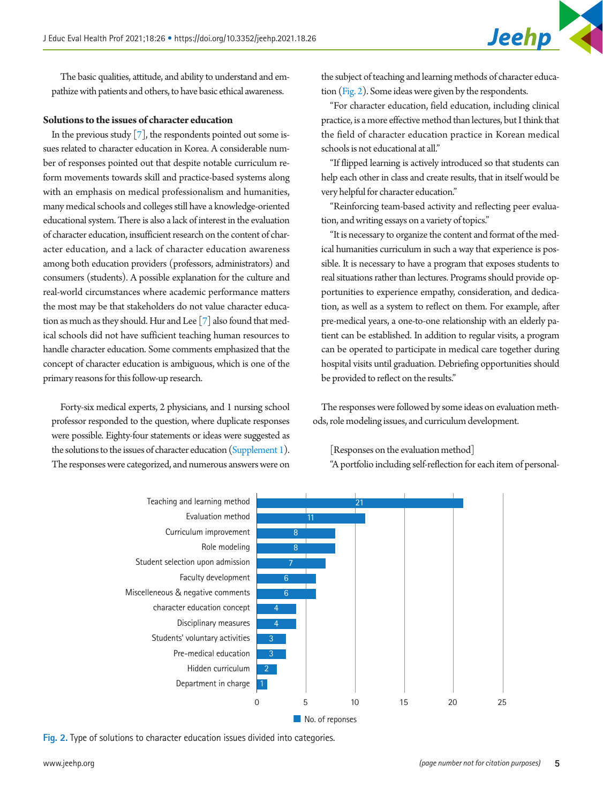The basic qualities, attitude, and ability to understand and empathize with patients and others, to have basic ethical awareness.

#### **Solutions to the issues of character education**

In the previous study  $[7]$ , the respondents pointed out some issues related to character education in Korea. A considerable number of responses pointed out that despite notable curriculum reform movements towards skill and practice-based systems along with an emphasis on medical professionalism and humanities, many medical schools and colleges still have a knowledge-oriented educational system. There is also a lack of interest in the evaluation of character education, insufficient research on the content of character education, and a lack of character education awareness among both education providers (professors, administrators) and consumers (students). A possible explanation for the culture and real-world circumstances where academic performance matters the most may be that stakeholders do not value character education as much as they should. Hur and Lee [7] also found that medical schools did not have sufficient teaching human resources to handle character education. Some comments emphasized that the concept of character education is ambiguous, which is one of the primary reasons for this follow-up research.

Forty-six medical experts, 2 physicians, and 1 nursing school professor responded to the question, where duplicate responses were possible. Eighty-four statements or ideas were suggested as the solutions to the issues of character education [\(Supplement 1](#page-7-9)). The responses were categorized, and numerous answers were on

the subject of teaching and learning methods of character education [\(Fig. 2\)](#page-4-0). Some ideas were given by the respondents.

"For character education, field education, including clinical practice, is a more effective method than lectures, but I think that the field of character education practice in Korean medical schools is not educational at all."

"If flipped learning is actively introduced so that students can help each other in class and create results, that in itself would be very helpful for character education."

"Reinforcing team-based activity and reflecting peer evaluation, and writing essays on a variety of topics."

"It is necessary to organize the content and format of the medical humanities curriculum in such a way that experience is possible. It is necessary to have a program that exposes students to real situations rather than lectures. Programs should provide opportunities to experience empathy, consideration, and dedication, as well as a system to reflect on them. For example, after pre-medical years, a one-to-one relationship with an elderly patient can be established. In addition to regular visits, a program can be operated to participate in medical care together during hospital visits until graduation. Debriefing opportunities should be provided to reflect on the results."

The responses were followed by some ideas on evaluation methods, role modeling issues, and curriculum development.

[Responses on the evaluation method]

"A portfolio including self-reflection for each item of personal-

<span id="page-4-0"></span>

**Fig. 2.** Type of solutions to character education issues divided into categories.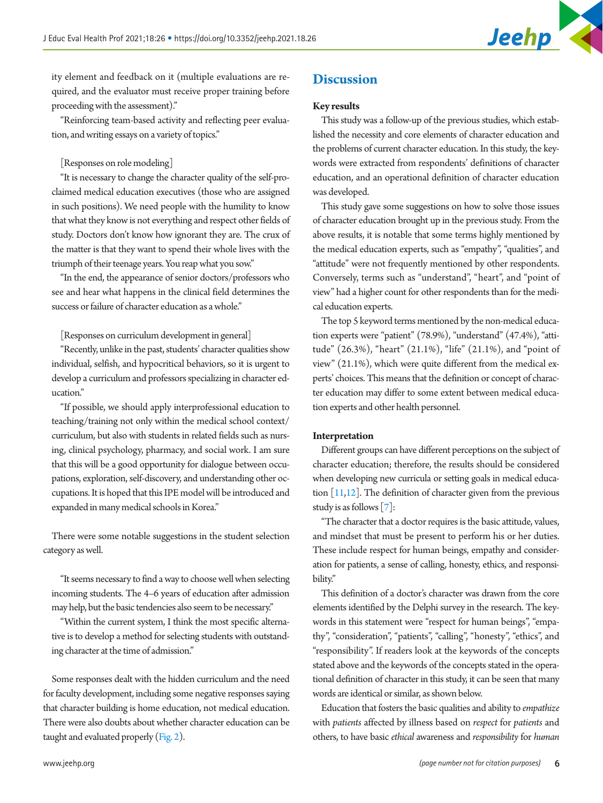

ity element and feedback on it (multiple evaluations are required, and the evaluator must receive proper training before proceeding with the assessment)."

"Reinforcing team-based activity and reflecting peer evaluation, and writing essays on a variety of topics."

#### [Responses on role modeling]

"It is necessary to change the character quality of the self-proclaimed medical education executives (those who are assigned in such positions). We need people with the humility to know that what they know is not everything and respect other fields of study. Doctors don't know how ignorant they are. The crux of the matter is that they want to spend their whole lives with the triumph of their teenage years. You reap what you sow."

"In the end, the appearance of senior doctors/professors who see and hear what happens in the clinical field determines the success or failure of character education as a whole."

[Responses on curriculum development in general]

"Recently, unlike in the past, students' character qualities show individual, selfish, and hypocritical behaviors, so it is urgent to develop a curriculum and professors specializing in character education."

"If possible, we should apply interprofessional education to teaching/training not only within the medical school context/ curriculum, but also with students in related fields such as nursing, clinical psychology, pharmacy, and social work. I am sure that this will be a good opportunity for dialogue between occupations, exploration, self-discovery, and understanding other occupations. It is hoped that this IPE model will be introduced and expanded in many medical schools in Korea."

There were some notable suggestions in the student selection category as well.

"It seems necessary to find a way to choose well when selecting incoming students. The 4–6 years of education after admission may help, but the basic tendencies also seem to be necessary."

"Within the current system, I think the most specific alternative is to develop a method for selecting students with outstanding character at the time of admission."

Some responses dealt with the hidden curriculum and the need for faculty development, including some negative responses saying that character building is home education, not medical education. There were also doubts about whether character education can be taught and evaluated properly  $(Fig, 2)$ .

# **Discussion**

#### **Key results**

This study was a follow-up of the previous studies, which established the necessity and core elements of character education and the problems of current character education. In this study, the keywords were extracted from respondents' definitions of character education, and an operational definition of character education was developed.

This study gave some suggestions on how to solve those issues of character education brought up in the previous study. From the above results, it is notable that some terms highly mentioned by the medical education experts, such as "empathy", "qualities", and "attitude" were not frequently mentioned by other respondents. Conversely, terms such as "understand", "heart", and "point of view" had a higher count for other respondents than for the medical education experts.

The top 5 keyword terms mentioned by the non-medical education experts were "patient" (78.9%), "understand" (47.4%), "attitude" (26.3%), "heart" (21.1%), "life" (21.1%), and "point of view" (21.1%), which were quite different from the medical experts' choices. This means that the definition or concept of character education may differ to some extent between medical education experts and other health personnel.

#### **Interpretation**

Different groups can have different perceptions on the subject of character education; therefore, the results should be considered when developing new curricula or setting goals in medical education  $[11,12]$  $[11,12]$  $[11,12]$ . The definition of character given from the previous study is as follows [7]:

"The character that a doctor requires is the basic attitude, values, and mindset that must be present to perform his or her duties. These include respect for human beings, empathy and consideration for patients, a sense of calling, honesty, ethics, and responsibility."

This definition of a doctor's character was drawn from the core elements identified by the Delphi survey in the research. The keywords in this statement were "respect for human beings", "empathy", "consideration", "patients", "calling", "honesty", "ethics", and "responsibility". If readers look at the keywords of the concepts stated above and the keywords of the concepts stated in the operational definition of character in this study, it can be seen that many words are identical or similar, as shown below.

Education that fosters the basic qualities and ability to *empathize* with *patients* affected by illness based on *respect* for *patients* and others, to have basic *ethical* awareness and *responsibility* for *human*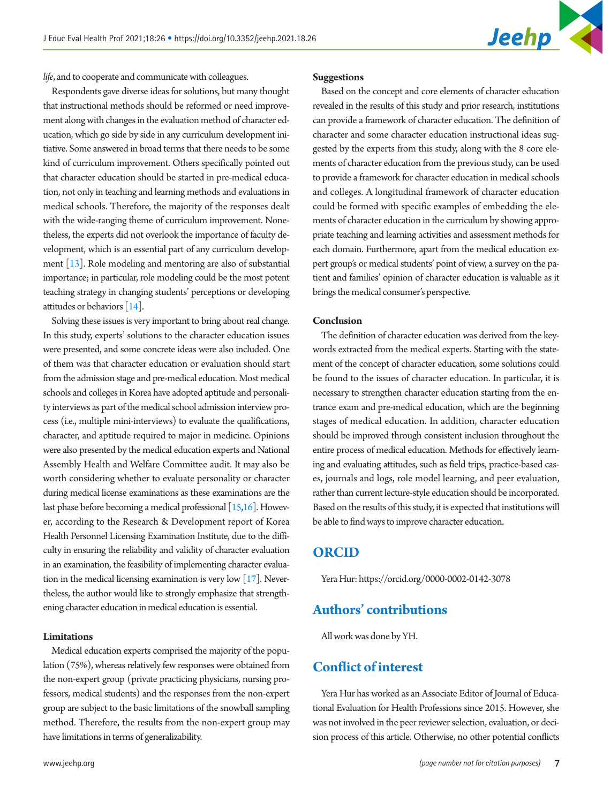

*life*, and to cooperate and communicate with colleagues.

Respondents gave diverse ideas for solutions, but many thought that instructional methods should be reformed or need improvement along with changes in the evaluation method of character education, which go side by side in any curriculum development initiative. Some answered in broad terms that there needs to be some kind of curriculum improvement. Others specifically pointed out that character education should be started in pre-medical education, not only in teaching and learning methods and evaluations in medical schools. Therefore, the majority of the responses dealt with the wide-ranging theme of curriculum improvement. Nonetheless, the experts did not overlook the importance of faculty development, which is an essential part of any curriculum development [\[13](#page-7-12)]. Role modeling and mentoring are also of substantial importance; in particular, role modeling could be the most potent teaching strategy in changing students' perceptions or developing attitudes or behaviors [\[14](#page-7-13)].

Solving these issues is very important to bring about real change. In this study, experts' solutions to the character education issues were presented, and some concrete ideas were also included. One of them was that character education or evaluation should start from the admission stage and pre-medical education. Most medical schools and colleges in Korea have adopted aptitude and personality interviews as part of the medical school admission interview process (i.e., multiple mini-interviews) to evaluate the qualifications, character, and aptitude required to major in medicine. Opinions were also presented by the medical education experts and National Assembly Health and Welfare Committee audit. It may also be worth considering whether to evaluate personality or character during medical license examinations as these examinations are the last phase before becoming a medical professional  $[15,16]$  $[15,16]$  $[15,16]$ . However, according to the Research & Development report of Korea Health Personnel Licensing Examination Institute, due to the difficulty in ensuring the reliability and validity of character evaluation in an examination, the feasibility of implementing character evaluation in the medical licensing examination is very low [\[17\]](#page-7-16). Nevertheless, the author would like to strongly emphasize that strengthening character education in medical education is essential.

#### **Limitations**

Medical education experts comprised the majority of the population (75%), whereas relatively few responses were obtained from the non-expert group (private practicing physicians, nursing professors, medical students) and the responses from the non-expert group are subject to the basic limitations of the snowball sampling method. Therefore, the results from the non-expert group may have limitations in terms of generalizability.

Based on the concept and core elements of character education revealed in the results of this study and prior research, institutions can provide a framework of character education. The definition of character and some character education instructional ideas suggested by the experts from this study, along with the 8 core elements of character education from the previous study, can be used to provide a framework for character education in medical schools and colleges. A longitudinal framework of character education could be formed with specific examples of embedding the elements of character education in the curriculum by showing appropriate teaching and learning activities and assessment methods for each domain. Furthermore, apart from the medical education expert group's or medical students' point of view, a survey on the patient and families' opinion of character education is valuable as it brings the medical consumer's perspective.

#### **Conclusion**

The definition of character education was derived from the keywords extracted from the medical experts. Starting with the statement of the concept of character education, some solutions could be found to the issues of character education. In particular, it is necessary to strengthen character education starting from the entrance exam and pre-medical education, which are the beginning stages of medical education. In addition, character education should be improved through consistent inclusion throughout the entire process of medical education. Methods for effectively learning and evaluating attitudes, such as field trips, practice-based cases, journals and logs, role model learning, and peer evaluation, rather than current lecture-style education should be incorporated. Based on the results of this study, it is expected that institutions will be able to find ways to improve character education.

### **ORCID**

Yera Hur: [https://orcid.org/0000-0002-0142-3078](http://orcid.org/0000-0002-0142-3078)

# **Authors' contributions**

All work was done by YH.

# **Conflict of interest**

Yera Hur has worked as an Associate Editor of Journal of Educational Evaluation for Health Professions since 2015. However, she was not involved in the peer reviewer selection, evaluation, or decision process of this article. Otherwise, no other potential conflicts